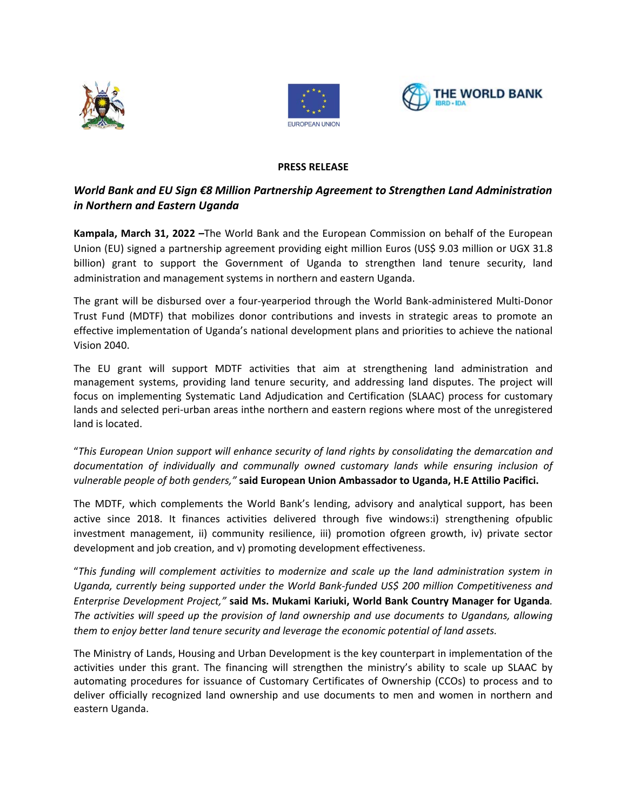





## **PRESS RELEASE**

# *World Bank and EU Sign €8 Million Partnership Agreement to Strengthen Land Administration in Northern and Eastern Uganda*

**Kampala, March 31, 2022 –**The World Bank and the European Commission on behalf of the European Union (EU) signed a partnership agreement providing eight million Euros (US\$ 9.03 million or UGX 31.8 billion) grant to support the Government of Uganda to strengthen land tenure security, land administration and management systems in northern and eastern Uganda.

The grant will be disbursed over a four-yearperiod through the World Bank-administered Multi-Donor Trust Fund (MDTF) that mobilizes donor contributions and invests in strategic areas to promote an effective implementation of Uganda's national development plans and priorities to achieve the national Vision 2040.

The EU grant will support MDTF activities that aim at strengthening land administration and management systems, providing land tenure security, and addressing land disputes. The project will focus on implementing Systematic Land Adjudication and Certification (SLAAC) process for customary lands and selected peri-urban areas inthe northern and eastern regions where most of the unregistered land is located.

"*This European Union support will enhance security of land rights by consolidating the demarcation and*  documentation of individually and communally owned customary lands while ensuring inclusion of *vulnerable people of both genders,"* **said European Union Ambassador to Uganda, H.E Attilio Pacifici.** 

The MDTF, which complements the World Bank's lending, advisory and analytical support, has been active since 2018. It finances activities delivered through five windows:i) strengthening ofpublic investment management, ii) community resilience, iii) promotion ofgreen growth, iv) private sector development and job creation, and v) promoting development effectiveness.

"*This funding will complement activities to modernize and scale up the land administration system in Uganda, currently being supported under the World Bank-funded US\$ 200 million [Competitiveness and](https://projects.worldbank.org/en/projects-operations/project-detail/P130471)  Enterprise [Development Project,](https://projects.worldbank.org/en/projects-operations/project-detail/P130471)"* **said Ms. Mukami Kariuki, World Bank Country Manager for Uganda***. The activities will speed up the provision of land ownership and use documents to Ugandans, allowing them to enjoy better land tenure security and leverage the economic potential of land assets.* 

The Ministry of Lands, Housing and Urban Development is the key counterpart in implementation of the activities under this grant. The financing will strengthen the ministry's ability to scale up SLAAC by automating procedures for issuance of Customary Certificates of Ownership (CCOs) to process and to deliver officially recognized land ownership and use documents to men and women in northern and eastern Uganda.